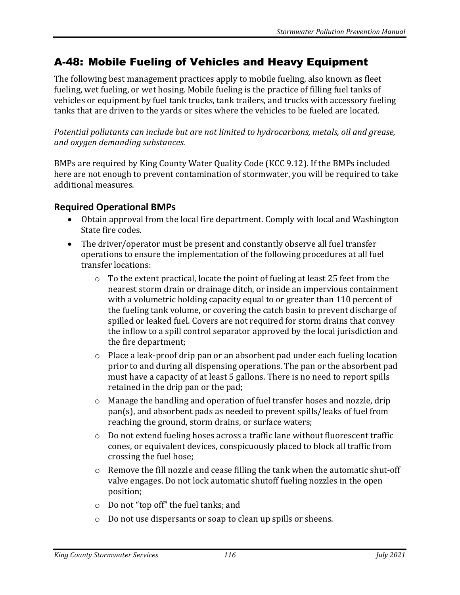## A-48: Mobile Fueling of Vehicles and Heavy Equipment

The following best management practices apply to mobile fueling, also known as fleet fueling, wet fueling, or wet hosing. Mobile fueling is the practice of filling fuel tanks of vehicles or equipment by fuel tank trucks, tank trailers, and trucks with accessory fueling tanks that are driven to the yards or sites where the vehicles to be fueled are located.

*Potential pollutants can include but are not limited to hydrocarbons, metals, oil and grease, and oxygen demanding substances.*

BMPs are required by King County Water Quality Code (KCC 9.12). If the BMPs included here are not enough to prevent contamination of stormwater, you will be required to take additional measures.

## **Required Operational BMPs**

- Obtain approval from the local fire department. Comply with local and Washington State fire codes.
- The driver/operator must be present and constantly observe all fuel transfer operations to ensure the implementation of the following procedures at all fuel transfer locations:
	- o To the extent practical, locate the point of fueling at least 25 feet from the nearest storm drain or drainage ditch, or inside an impervious containment with a volumetric holding capacity equal to or greater than 110 percent of the fueling tank volume, or covering the catch basin to prevent discharge of spilled or leaked fuel. Covers are not required for storm drains that convey the inflow to a spill control separator approved by the local jurisdiction and the fire department;
	- o Place a leak-proof drip pan or an absorbent pad under each fueling location prior to and during all dispensing operations. The pan or the absorbent pad must have a capacity of at least 5 gallons. There is no need to report spills retained in the drip pan or the pad;
	- o Manage the handling and operation of fuel transfer hoses and nozzle, drip pan(s), and absorbent pads as needed to prevent spills/leaks of fuel from reaching the ground, storm drains, or surface waters;
	- $\circ$  Do not extend fueling hoses across a traffic lane without fluorescent traffic cones, or equivalent devices, conspicuously placed to block all traffic from crossing the fuel hose;
	- o Remove the fill nozzle and cease filling the tank when the automatic shut-off valve engages. Do not lock automatic shutoff fueling nozzles in the open position;
	- o Do not "top off" the fuel tanks; and
	- o Do not use dispersants or soap to clean up spills or sheens.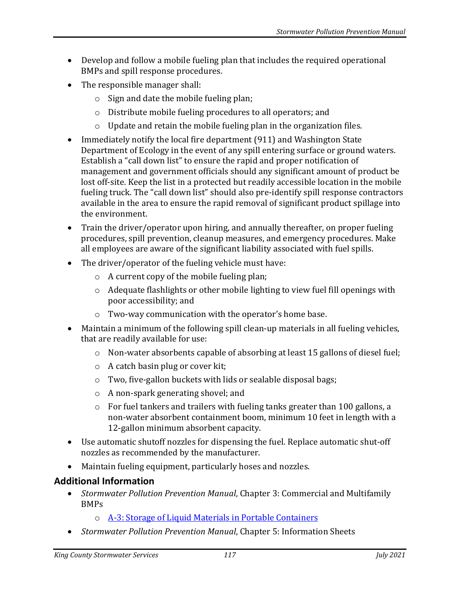- Develop and follow a mobile fueling plan that includes the required operational BMPs and spill response procedures.
- The responsible manager shall:
	- o Sign and date the mobile fueling plan;
	- o Distribute mobile fueling procedures to all operators; and
	- $\circ$  Update and retain the mobile fueling plan in the organization files.
- Immediately notify the local fire department (911) and Washington State Department of Ecology in the event of any spill entering surface or ground waters. Establish a "call down list" to ensure the rapid and proper notification of management and government officials should any significant amount of product be lost off-site. Keep the list in a protected but readily accessible location in the mobile fueling truck. The "call down list" should also pre-identify spill response contractors available in the area to ensure the rapid removal of significant product spillage into the environment.
- Train the driver/operator upon hiring, and annually thereafter, on proper fueling procedures, spill prevention, cleanup measures, and emergency procedures. Make all employees are aware of the significant liability associated with fuel spills.
- The driver/operator of the fueling vehicle must have:
	- o A current copy of the mobile fueling plan;
	- o Adequate flashlights or other mobile lighting to view fuel fill openings with poor accessibility; and
	- o Two-way communication with the operator's home base.
- Maintain a minimum of the following spill clean-up materials in all fueling vehicles, that are readily available for use:
	- $\circ$  Non-water absorbents capable of absorbing at least 15 gallons of diesel fuel;
	- o A catch basin plug or cover kit;
	- o Two, five-gallon buckets with lids or sealable disposal bags;
	- o A non-spark generating shovel; and
	- o For fuel tankers and trailers with fueling tanks greater than 100 gallons, a non-water absorbent containment boom, minimum 10 feet in length with a 12-gallon minimum absorbent capacity.
- Use automatic shutoff nozzles for dispensing the fuel. Replace automatic shut-off nozzles as recommended by the manufacturer.
- Maintain fueling equipment, particularly hoses and nozzles.

## **Additional Information**

- *Stormwater Pollution Prevention Manual*, Chapter 3: Commercial and Multifamily BMPs
	- o [A-3: Storage of Liquid Materials in Portable Containers](https://your.kingcounty.gov/dnrp/library/water-and-land/stormwater/stormwater-pollution-prevention-manual/a03-jul21.pdf)
- *Stormwater Pollution Prevention Manual*, Chapter 5: Information Sheets